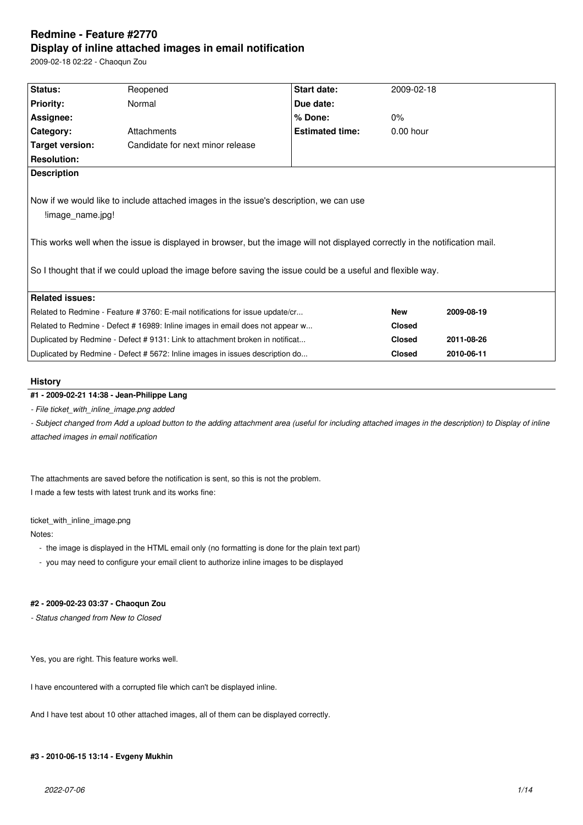# **Redmine - Feature #2770 Display of inline attached images in email notification**

2009-02-18 02:22 - Chaoqun Zou

| Status:                                                                                                                                                                                                                                                                                                                                                  | Reopened                         | Start date:            | 2009-02-18    |            |  |  |
|----------------------------------------------------------------------------------------------------------------------------------------------------------------------------------------------------------------------------------------------------------------------------------------------------------------------------------------------------------|----------------------------------|------------------------|---------------|------------|--|--|
| <b>Priority:</b>                                                                                                                                                                                                                                                                                                                                         | Normal                           | Due date:              |               |            |  |  |
| Assignee:                                                                                                                                                                                                                                                                                                                                                |                                  | % Done:                | 0%            |            |  |  |
| Category:                                                                                                                                                                                                                                                                                                                                                | Attachments                      | <b>Estimated time:</b> | $0.00$ hour   |            |  |  |
| Target version:                                                                                                                                                                                                                                                                                                                                          | Candidate for next minor release |                        |               |            |  |  |
| <b>Resolution:</b>                                                                                                                                                                                                                                                                                                                                       |                                  |                        |               |            |  |  |
| <b>Description</b>                                                                                                                                                                                                                                                                                                                                       |                                  |                        |               |            |  |  |
| Now if we would like to include attached images in the issue's description, we can use<br>limage name.jpg!<br>This works well when the issue is displayed in browser, but the image will not displayed correctly in the notification mail.<br>So I thought that if we could upload the image before saving the issue could be a useful and flexible way. |                                  |                        |               |            |  |  |
| <b>Related issues:</b>                                                                                                                                                                                                                                                                                                                                   |                                  |                        |               |            |  |  |
| Related to Redmine - Feature # 3760: E-mail notifications for issue update/cr                                                                                                                                                                                                                                                                            |                                  |                        | <b>New</b>    | 2009-08-19 |  |  |
| Related to Redmine - Defect # 16989: Inline images in email does not appear w                                                                                                                                                                                                                                                                            |                                  |                        | <b>Closed</b> |            |  |  |
| Duplicated by Redmine - Defect #9131: Link to attachment broken in notificat                                                                                                                                                                                                                                                                             |                                  |                        | <b>Closed</b> | 2011-08-26 |  |  |
| Duplicated by Redmine - Defect # 5672: Inline images in issues description do                                                                                                                                                                                                                                                                            |                                  |                        | <b>Closed</b> | 2010-06-11 |  |  |
|                                                                                                                                                                                                                                                                                                                                                          |                                  |                        |               |            |  |  |

### **History**

# **#1 - 2009-02-21 14:38 - Jean-Philippe Lang**

*- File ticket\_with\_inline\_image.png added*

- Subject changed from Add a upload button to the adding attachment area (useful for including attached images in the description) to Display of inline *attached images in email notification*

The attachments are saved before the notification is sent, so this is not the problem. I made a few tests with latest trunk and its works fine:

ticket\_with\_inline\_image.png

Notes:

- the image is displayed in the HTML email only (no formatting is done for the plain text part)
- you may need to configure your email client to authorize inline images to be displayed

## **#2 - 2009-02-23 03:37 - Chaoqun Zou**

*- Status changed from New to Closed*

Yes, you are right. This feature works well.

I have encountered with a corrupted file which can't be displayed inline.

And I have test about 10 other attached images, all of them can be displayed correctly.

### **#3 - 2010-06-15 13:14 - Evgeny Mukhin**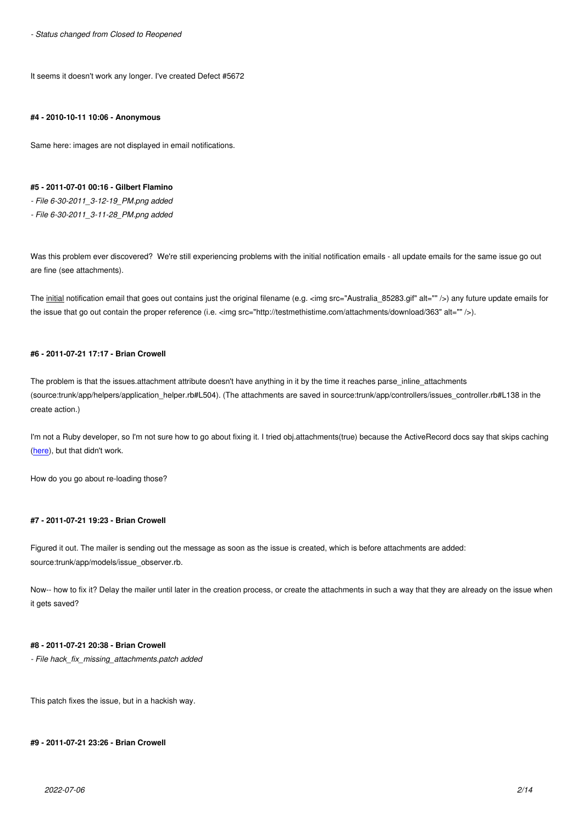It seems it doesn't work any longer. I've created Defect #5672

#### **#4 - 2010-10-11 10:06 - Anonymous**

Same here: images are not displayed in email notifications.

### **#5 - 2011-07-01 00:16 - Gilbert Flamino**

*- File 6-30-2011\_3-12-19\_PM.png added*

*- File 6-30-2011\_3-11-28\_PM.png added*

Was this problem ever discovered? We're still experiencing problems with the initial notification emails - all update emails for the same issue go out are fine (see attachments).

The initial notification email that goes out contains just the original filename (e.g. <img src="Australia\_85283.gif" alt="" />) any future update emails for the issue that go out contain the proper reference (i.e. <img src="http://testmethistime.com/attachments/download/363" alt="" />).

#### **#6 - 2011-07-21 17:17 - Brian Crowell**

The problem is that the issues.attachment attribute doesn't have anything in it by the time it reaches parse\_inline\_attachments (source:trunk/app/helpers/application\_helper.rb#L504). (The attachments are saved in source:trunk/app/controllers/issues\_controller.rb#L138 in the create action.)

I'm not a Ruby developer, so I'm not sure how to go about fixing it. I tried obj.attachments(true) because the ActiveRecord docs say that skips caching (here), but that didn't work.

How do you go about re-loading those?

### **#7 - 2011-07-21 19:23 - Brian Crowell**

Figured it out. The mailer is sending out the message as soon as the issue is created, which is before attachments are added: source:trunk/app/models/issue\_observer.rb.

Now-- how to fix it? Delay the mailer until later in the creation process, or create the attachments in such a way that they are already on the issue when it gets saved?

### **#8 - 2011-07-21 20:38 - Brian Crowell**

*- File hack\_fix\_missing\_attachments.patch added*

This patch fixes the issue, but in a hackish way.

#### **#9 - 2011-07-21 23:26 - Brian Crowell**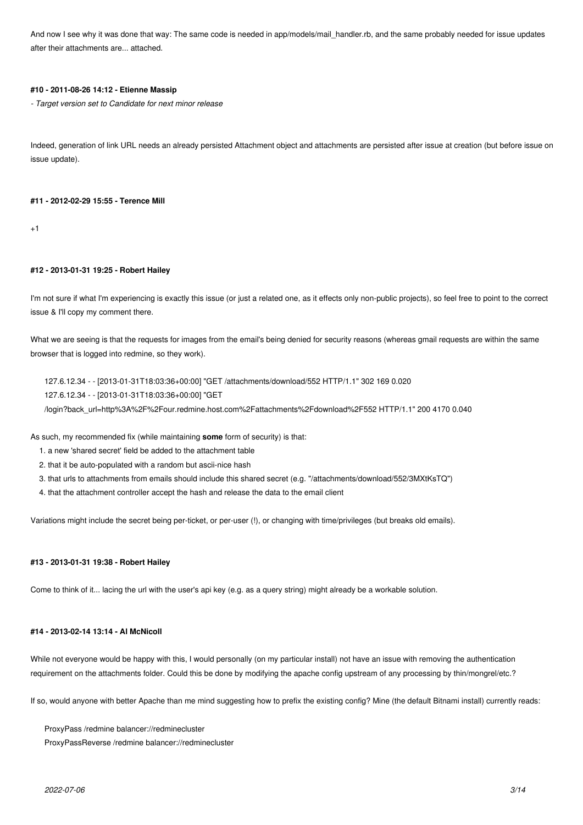And now I see why it was done that way: The same code is needed in app/models/mail handler.rb, and the same probably needed for issue updates after their attachments are... attached.

### **#10 - 2011-08-26 14:12 - Etienne Massip**

*- Target version set to Candidate for next minor release*

Indeed, generation of link URL needs an already persisted Attachment object and attachments are persisted after issue at creation (but before issue on issue update).

#### **#11 - 2012-02-29 15:55 - Terence Mill**

 $+1$ 

#### **#12 - 2013-01-31 19:25 - Robert Hailey**

I'm not sure if what I'm experiencing is exactly this issue (or just a related one, as it effects only non-public projects), so feel free to point to the correct issue & I'll copy my comment there.

What we are seeing is that the requests for images from the email's being denied for security reasons (whereas gmail requests are within the same browser that is logged into redmine, so they work).

127.6.12.34 - - [2013-01-31T18:03:36+00:00] "GET /attachments/download/552 HTTP/1.1" 302 169 0.020 127.6.12.34 - - [2013-01-31T18:03:36+00:00] "GET

/login?back\_url=http%3A%2F%2Four.redmine.host.com%2Fattachments%2Fdownload%2F552 HTTP/1.1" 200 4170 0.040

As such, my recommended fix (while maintaining **some** form of security) is that:

- 1. a new 'shared secret' field be added to the attachment table
- 2. that it be auto-populated with a random but ascii-nice hash
- 3. that urls to attachments from emails should include this shared secret (e.g. "/attachments/download/552/3MXtKsTQ")
- 4. that the attachment controller accept the hash and release the data to the email client

Variations might include the secret being per-ticket, or per-user (!), or changing with time/privileges (but breaks old emails).

### **#13 - 2013-01-31 19:38 - Robert Hailey**

Come to think of it... lacing the url with the user's api key (e.g. as a query string) might already be a workable solution.

### **#14 - 2013-02-14 13:14 - Al McNicoll**

While not everyone would be happy with this, I would personally (on my particular install) not have an issue with removing the authentication requirement on the attachments folder. Could this be done by modifying the apache config upstream of any processing by thin/mongrel/etc.?

If so, would anyone with better Apache than me mind suggesting how to prefix the existing config? Mine (the default Bitnami install) currently reads:

ProxyPass /redmine balancer://redminecluster

ProxyPassReverse /redmine balancer://redminecluster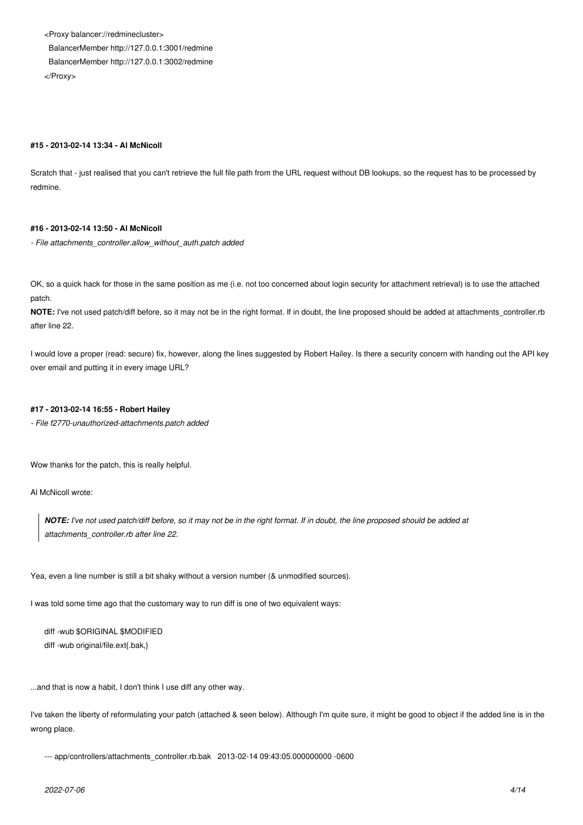<Proxy balancer://redminecluster> BalancerMember http://127.0.0.1:3001/redmine BalancerMember http://127.0.0.1:3002/redmine </Proxy>

### **#15 - 2013-02-14 13:34 - Al McNicoll**

Scratch that - just realised that you can't retrieve the full file path from the URL request without DB lookups, so the request has to be processed by redmine.

### **#16 - 2013-02-14 13:50 - Al McNicoll**

*- File attachments\_controller.allow\_without\_auth.patch added*

OK, so a quick hack for those in the same position as me (i.e. not too concerned about login security for attachment retrieval) is to use the attached patch.

**NOTE:** I've not used patch/diff before, so it may not be in the right format. If in doubt, the line proposed should be added at attachments\_controller.rb after line 22.

I would love a proper (read: secure) fix, however, along the lines suggested by Robert Hailey. Is there a security concern with handing out the API key over email and putting it in every image URL?

### **#17 - 2013-02-14 16:55 - Robert Hailey**

*- File f2770-unauthorized-attachments.patch added*

Wow thanks for the patch, this is really helpful.

Al McNicoll wrote:

*NOTE: I've not used patch/diff before, so it may not be in the right format. If in doubt, the line proposed should be added at attachments\_controller.rb after line 22.*

Yea, even a line number is still a bit shaky without a version number (& unmodified sources).

I was told some time ago that the customary way to run diff is one of two equivalent ways:

diff -wub \$ORIGINAL \$MODIFIED diff -wub original/file.ext{.bak,}

...and that is now a habit, I don't think I use diff any other way.

I've taken the liberty of reformulating your patch (attached & seen below). Although I'm quite sure, it might be good to object if the added line is in the wrong place.

--- app/controllers/attachments\_controller.rb.bak 2013-02-14 09:43:05.000000000 -0600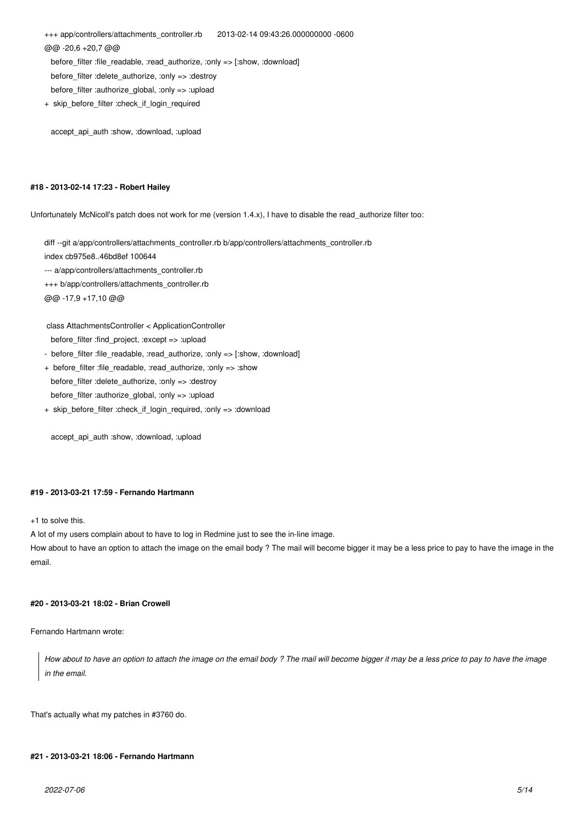+++ app/controllers/attachments\_controller.rb 2013-02-14 09:43:26.000000000 -0600 @@ -20,6 +20,7 @@ before filter :file readable, :read authorize, :only => [:show, :download] before\_filter :delete\_authorize, :only => :destroy

before\_filter :authorize\_global, :only => :upload

+ skip\_before\_filter :check\_if\_login\_required

accept\_api\_auth :show, :download, :upload

### **#18 - 2013-02-14 17:23 - Robert Hailey**

Unfortunately McNicoll's patch does not work for me (version 1.4.x), I have to disable the read\_authorize filter too:

diff --git a/app/controllers/attachments\_controller.rb b/app/controllers/attachments\_controller.rb

index cb975e8..46bd8ef 100644

--- a/app/controllers/attachments\_controller.rb

+++ b/app/controllers/attachments\_controller.rb

@@ -17,9 +17,10 @@

class AttachmentsController < ApplicationController

before filter :find project, :except => :upload

- before filter :file readable, :read authorize, :only => [:show, :download]
- + before\_filter :file\_readable, :read\_authorize, :only => :show before\_filter :delete\_authorize, :only => :destroy before\_filter :authorize\_global, :only => :upload
- + skip\_before\_filter :check\_if\_login\_required, :only => :download

accept api\_auth :show, :download, :upload

### **#19 - 2013-03-21 17:59 - Fernando Hartmann**

+1 to solve this.

A lot of my users complain about to have to log in Redmine just to see the in-line image.

How about to have an option to attach the image on the email body ? The mail will become bigger it may be a less price to pay to have the image in the email.

### **#20 - 2013-03-21 18:02 - Brian Crowell**

Fernando Hartmann wrote:

*How about to have an option to attach the image on the email body ? The mail will become bigger it may be a less price to pay to have the image in the email.*

That's actually what my patches in #3760 do.

### **#21 - 2013-03-21 18:06 - Fernando Hartmann**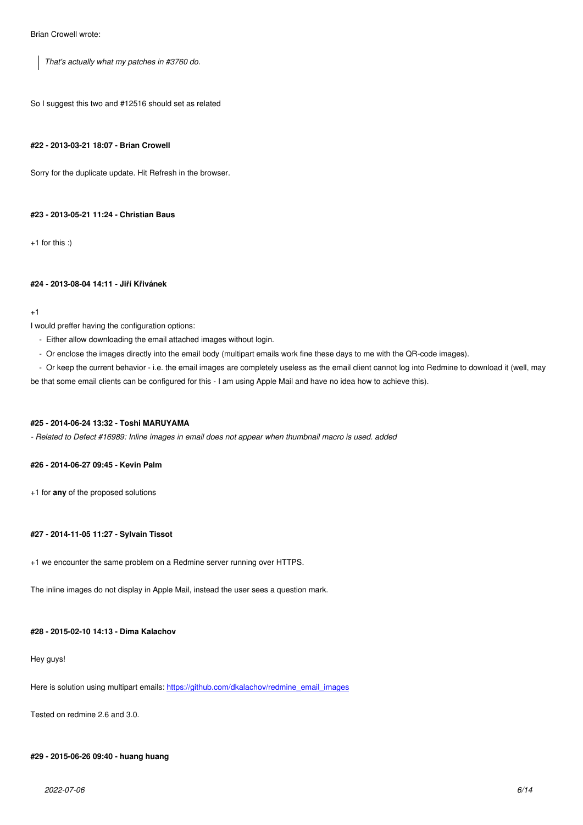*That's actually what my patches in #3760 do.*

So I suggest this two and #12516 should set as related

### **#22 - 2013-03-21 18:07 - Brian Crowell**

Sorry for the duplicate update. Hit Refresh in the browser.

#### **#23 - 2013-05-21 11:24 - Christian Baus**

+1 for this :)

#### **#24 - 2013-08-04 14:11 - Jiří Křivánek**

#### +1

I would preffer having the configuration options:

- Either allow downloading the email attached images without login.
- Or enclose the images directly into the email body (multipart emails work fine these days to me with the QR-code images).
- Or keep the current behavior i.e. the email images are completely useless as the email client cannot log into Redmine to download it (well, may

be that some email clients can be configured for this - I am using Apple Mail and have no idea how to achieve this).

### **#25 - 2014-06-24 13:32 - Toshi MARUYAMA**

*- Related to Defect #16989: Inline images in email does not appear when thumbnail macro is used. added*

### **#26 - 2014-06-27 09:45 - Kevin Palm**

+1 for **any** of the proposed solutions

### **#27 - 2014-11-05 11:27 - Sylvain Tissot**

+1 we encounter the same problem on a Redmine server running over HTTPS.

The inline images do not display in Apple Mail, instead the user sees a question mark.

### **#28 - 2015-02-10 14:13 - Dima Kalachov**

#### Hey guys!

Here is solution using multipart emails: https://github.com/dkalachov/redmine\_email\_images

Tested on redmine 2.6 and 3.0.

### **#29 - 2015-06-26 09:40 - huang huang**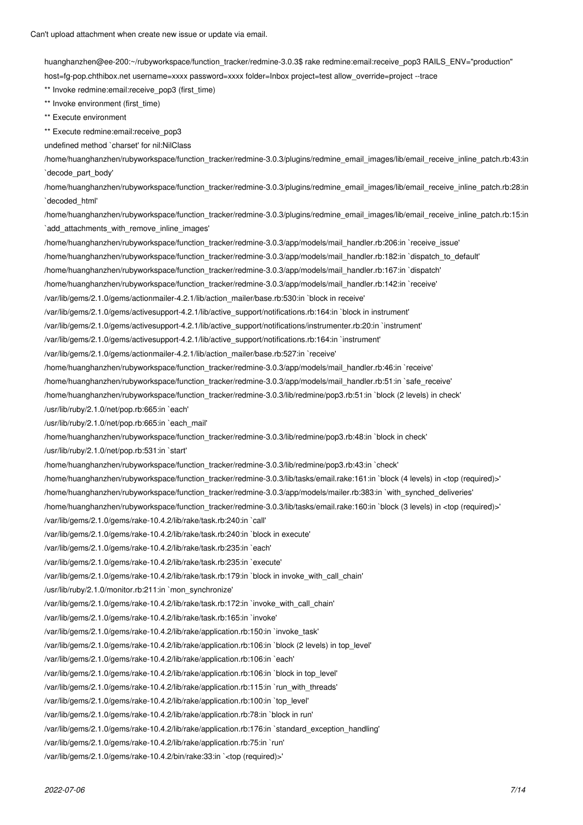huanghanzhen@ee-200:~/rubyworkspace/function\_tracker/redmine-3.0.3\$ rake redmine:email:receive\_pop3 RAILS\_ENV="production" host=fg-pop.chthibox.net username=xxxx password=xxxx folder=Inbox project=test allow\_override=project --trace \*\* Invoke redmine:email:receive\_pop3 (first\_time) \*\* Invoke environment (first\_time) \*\* Execute environment \*\* Execute redmine:email:receive\_pop3 undefined method `charset' for nil:NilClass /home/huanghanzhen/rubyworkspace/function\_tracker/redmine-3.0.3/plugins/redmine\_email\_images/lib/email\_receive\_inline\_patch.rb:43:in `decode\_part\_body' /home/huanghanzhen/rubyworkspace/function\_tracker/redmine-3.0.3/plugins/redmine\_email\_images/lib/email\_receive\_inline\_patch.rb:28:in `decoded\_html' /home/huanghanzhen/rubyworkspace/function\_tracker/redmine-3.0.3/plugins/redmine\_email\_images/lib/email\_receive\_inline\_patch.rb:15:in `add\_attachments\_with\_remove\_inline\_images' /home/huanghanzhen/rubyworkspace/function\_tracker/redmine-3.0.3/app/models/mail\_handler.rb:206:in `receive\_issue' /home/huanghanzhen/rubyworkspace/function\_tracker/redmine-3.0.3/app/models/mail\_handler.rb:182:in `dispatch\_to\_default' /home/huanghanzhen/rubyworkspace/function\_tracker/redmine-3.0.3/app/models/mail\_handler.rb:167:in `dispatch' /home/huanghanzhen/rubyworkspace/function\_tracker/redmine-3.0.3/app/models/mail\_handler.rb:142:in `receive' /var/lib/gems/2.1.0/gems/actionmailer-4.2.1/lib/action\_mailer/base.rb:530:in `block in receive' /var/lib/gems/2.1.0/gems/activesupport-4.2.1/lib/active\_support/notifications.rb:164:in `block in instrument' /var/lib/gems/2.1.0/gems/activesupport-4.2.1/lib/active\_support/notifications/instrumenter.rb:20:in `instrument' /var/lib/gems/2.1.0/gems/activesupport-4.2.1/lib/active\_support/notifications.rb:164:in `instrument' /var/lib/gems/2.1.0/gems/actionmailer-4.2.1/lib/action\_mailer/base.rb:527:in `receive' /home/huanghanzhen/rubyworkspace/function\_tracker/redmine-3.0.3/app/models/mail\_handler.rb:46:in `receive' /home/huanghanzhen/rubyworkspace/function\_tracker/redmine-3.0.3/app/models/mail\_handler.rb:51:in `safe\_receive' /home/huanghanzhen/rubyworkspace/function\_tracker/redmine-3.0.3/lib/redmine/pop3.rb:51:in `block (2 levels) in check' /usr/lib/ruby/2.1.0/net/pop.rb:665:in `each' /usr/lib/ruby/2.1.0/net/pop.rb:665:in `each\_mail' /home/huanghanzhen/rubyworkspace/function\_tracker/redmine-3.0.3/lib/redmine/pop3.rb:48:in `block in check' /usr/lib/ruby/2.1.0/net/pop.rb:531:in `start' /home/huanghanzhen/rubyworkspace/function\_tracker/redmine-3.0.3/lib/redmine/pop3.rb:43:in `check' /home/huanghanzhen/rubyworkspace/function\_tracker/redmine-3.0.3/lib/tasks/email.rake:161:in `block (4 levels) in <top (required)>' /home/huanghanzhen/rubyworkspace/function\_tracker/redmine-3.0.3/app/models/mailer.rb:383:in `with\_synched\_deliveries' /home/huanghanzhen/rubyworkspace/function\_tracker/redmine-3.0.3/lib/tasks/email.rake:160:in `block (3 levels) in <top (required)>' /var/lib/gems/2.1.0/gems/rake-10.4.2/lib/rake/task.rb:240:in `call' /var/lib/gems/2.1.0/gems/rake-10.4.2/lib/rake/task.rb:240:in `block in execute' /var/lib/gems/2.1.0/gems/rake-10.4.2/lib/rake/task.rb:235:in `each' /var/lib/gems/2.1.0/gems/rake-10.4.2/lib/rake/task.rb:235:in `execute' /var/lib/gems/2.1.0/gems/rake-10.4.2/lib/rake/task.rb:179:in `block in invoke\_with\_call\_chain' /usr/lib/ruby/2.1.0/monitor.rb:211:in `mon\_synchronize' /var/lib/gems/2.1.0/gems/rake-10.4.2/lib/rake/task.rb:172:in `invoke\_with\_call\_chain' /var/lib/gems/2.1.0/gems/rake-10.4.2/lib/rake/task.rb:165:in `invoke' /var/lib/gems/2.1.0/gems/rake-10.4.2/lib/rake/application.rb:150:in `invoke\_task' /var/lib/gems/2.1.0/gems/rake-10.4.2/lib/rake/application.rb:106:in `block (2 levels) in top\_level' /var/lib/gems/2.1.0/gems/rake-10.4.2/lib/rake/application.rb:106:in `each' /var/lib/gems/2.1.0/gems/rake-10.4.2/lib/rake/application.rb:106:in `block in top\_level' /var/lib/gems/2.1.0/gems/rake-10.4.2/lib/rake/application.rb:115:in `run\_with\_threads' /var/lib/gems/2.1.0/gems/rake-10.4.2/lib/rake/application.rb:100:in `top\_level' /var/lib/gems/2.1.0/gems/rake-10.4.2/lib/rake/application.rb:78:in `block in run' /var/lib/gems/2.1.0/gems/rake-10.4.2/lib/rake/application.rb:176:in `standard\_exception\_handling'

/var/lib/gems/2.1.0/gems/rake-10.4.2/lib/rake/application.rb:75:in `run'

/var/lib/gems/2.1.0/gems/rake-10.4.2/bin/rake:33:in `<top (required)>'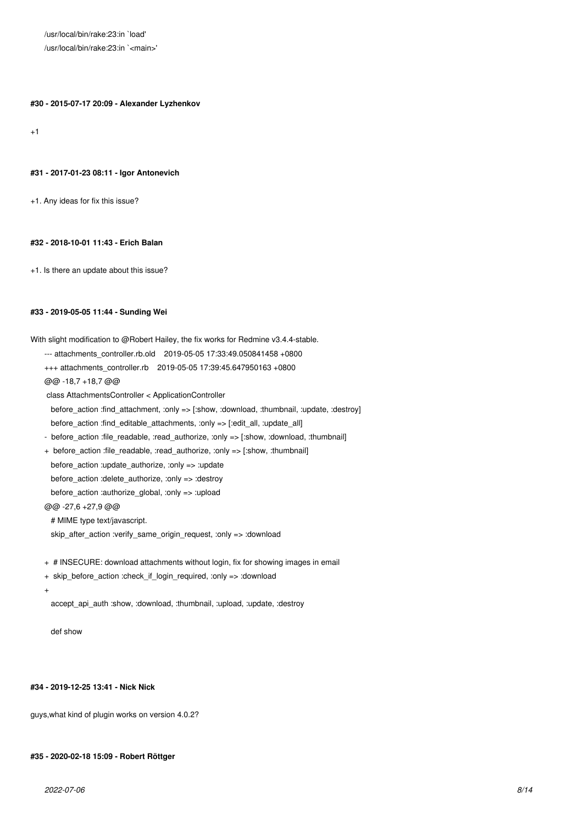/usr/local/bin/rake:23:in `load' /usr/local/bin/rake:23:in `<main>'

**#30 - 2015-07-17 20:09 - Alexander Lyzhenkov**

 $+1$ 

#### **#31 - 2017-01-23 08:11 - Igor Antonevich**

+1. Any ideas for fix this issue?

### **#32 - 2018-10-01 11:43 - Erich Balan**

+1. Is there an update about this issue?

#### **#33 - 2019-05-05 11:44 - Sunding Wei**

With slight modification to @Robert Hailey, the fix works for Redmine v3.4.4-stable.

- --- attachments\_controller.rb.old 2019-05-05 17:33:49.050841458 +0800
- +++ attachments\_controller.rb 2019-05-05 17:39:45.647950163 +0800

@@ -18,7 +18,7 @@

class AttachmentsController < ApplicationController

 before\_action :find\_attachment, :only => [:show, :download, :thumbnail, :update, :destroy] before\_action :find\_editable\_attachments, :only => [:edit\_all, :update\_all]

- before action :file readable, :read authorize, :only => [:show, :download, :thumbnail]
- + before action :file readable, :read authorize, :only => [:show, :thumbnail] before\_action :update\_authorize, :only => :update before\_action :delete\_authorize, :only => :destroy before action :authorize global, :only => :upload @@ -27,6 +27,9 @@

# MIME type text/javascript.

skip\_after\_action :verify\_same\_origin\_request, :only => :download

- + # INSECURE: download attachments without login, fix for showing images in email
- + skip\_before\_action :check\_if\_login\_required, :only => :download
- +

accept\_api\_auth :show, :download, :thumbnail, :upload, :update, :destroy

def show

#### **#34 - 2019-12-25 13:41 - Nick Nick**

guys,what kind of plugin works on version 4.0.2?

### **#35 - 2020-02-18 15:09 - Robert Röttger**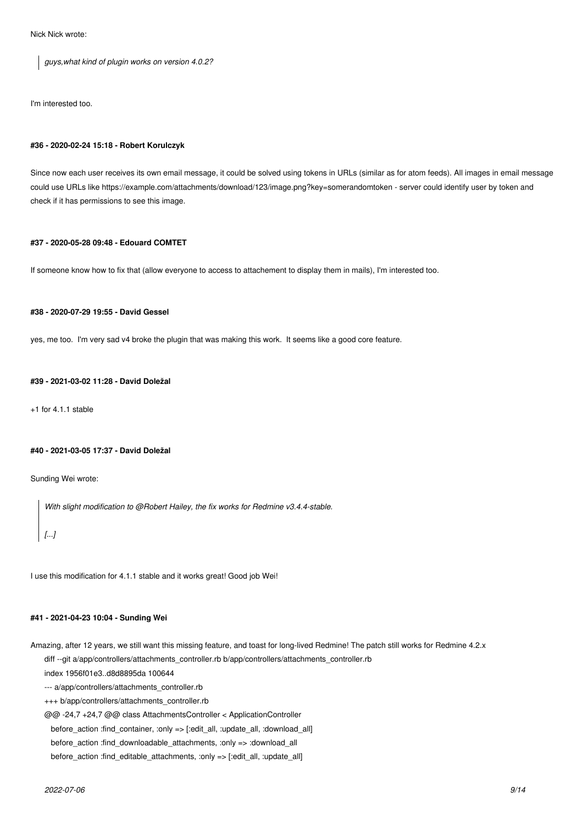Nick Nick wrote:

*guys,what kind of plugin works on version 4.0.2?*

I'm interested too.

#### **#36 - 2020-02-24 15:18 - Robert Korulczyk**

Since now each user receives its own email message, it could be solved using tokens in URLs (similar as for atom feeds). All images in email message could use URLs like https://example.com/attachments/download/123/image.png?key=somerandomtoken - server could identify user by token and check if it has permissions to see this image.

### **#37 - 2020-05-28 09:48 - Edouard COMTET**

If someone know how to fix that (allow everyone to access to attachement to display them in mails), I'm interested too.

### **#38 - 2020-07-29 19:55 - David Gessel**

yes, me too. I'm very sad v4 broke the plugin that was making this work. It seems like a good core feature.

### **#39 - 2021-03-02 11:28 - David Doležal**

+1 for 4.1.1 stable

#### **#40 - 2021-03-05 17:37 - David Doležal**

Sunding Wei wrote:

*With slight modification to @Robert Hailey, the fix works for Redmine v3.4.4-stable.*

# *[...]*

I use this modification for 4.1.1 stable and it works great! Good job Wei!

### **#41 - 2021-04-23 10:04 - Sunding Wei**

Amazing, after 12 years, we still want this missing feature, and toast for long-lived Redmine! The patch still works for Redmine 4.2.x diff --git a/app/controllers/attachments\_controller.rb b/app/controllers/attachments\_controller.rb

index 1956f01e3..d8d8895da 100644

--- a/app/controllers/attachments\_controller.rb

+++ b/app/controllers/attachments\_controller.rb

@@ -24,7 +24,7 @@ class AttachmentsController < ApplicationController

before\_action :find\_container, :only => [:edit\_all, :update\_all, :download\_all]

before\_action :find\_downloadable\_attachments, :only => :download\_all

before\_action :find\_editable\_attachments, :only => [:edit\_all, :update\_all]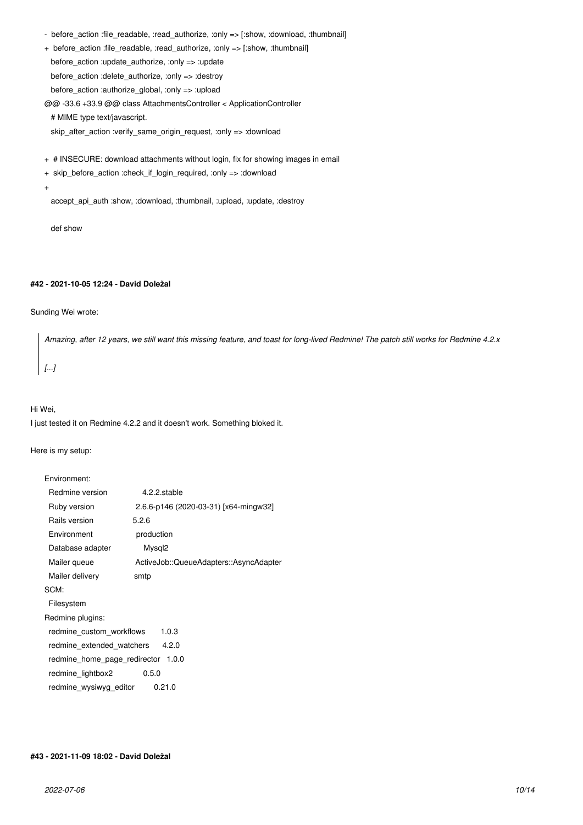- before\_action :file\_readable, :read\_authorize, :only => [:show, :download, :thumbnail]
- + before\_action :file\_readable, :read\_authorize, :only => [:show, :thumbnail]

before  $action$  :update  $authorize$ , :only => :update

before\_action :delete\_authorize, :only => :destroy

before\_action :authorize\_global, :only => :upload

@@ -33,6 +33,9 @@ class AttachmentsController < ApplicationController

# MIME type text/javascript.

skip\_after\_action :verify\_same\_origin\_request, :only => :download

- + # INSECURE: download attachments without login, fix for showing images in email
- + skip\_before\_action :check\_if\_login\_required, :only => :download
- +

accept api\_auth :show, :download, :thumbnail, :upload, :update, :destroy

def show

### **#42 - 2021-10-05 12:24 - David Doležal**

### Sunding Wei wrote:

*Amazing, after 12 years, we still want this missing feature, and toast for long-lived Redmine! The patch still works for Redmine 4.2.x [...]*

#### Hi Wei,

I just tested it on Redmine 4.2.2 and it doesn't work. Something bloked it.

Here is my setup:

| Environment:                          |                                        |  |  |  |  |
|---------------------------------------|----------------------------------------|--|--|--|--|
| Redmine version                       | 4.2.2.stable                           |  |  |  |  |
| Ruby version                          | 2.6.6-p146 (2020-03-31) [x64-mingw32]  |  |  |  |  |
| Rails version                         | 5.2.6                                  |  |  |  |  |
| Environment                           | production                             |  |  |  |  |
| Database adapter                      | Mysql <sub>2</sub>                     |  |  |  |  |
| Mailer queue                          | ActiveJob::QueueAdapters::AsyncAdapter |  |  |  |  |
| Mailer delivery                       | smtp                                   |  |  |  |  |
| SCM:                                  |                                        |  |  |  |  |
| Filesystem                            |                                        |  |  |  |  |
| Redmine plugins:                      |                                        |  |  |  |  |
| redmine custom workflows<br>1.0.3     |                                        |  |  |  |  |
| redmine_extended_watchers<br>4.2.0    |                                        |  |  |  |  |
| 1.0.0<br>redmine home page redirector |                                        |  |  |  |  |
| redmine lightbox2<br>0.5.0            |                                        |  |  |  |  |
| redmine wysiwyg editor                | 0.21.0                                 |  |  |  |  |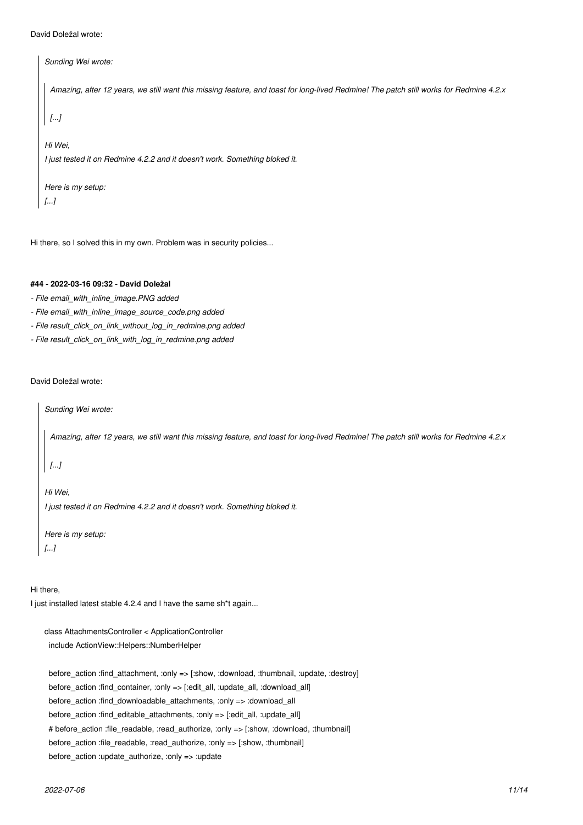```
David Doležal wrote:
```

```
Sunding Wei wrote:
 Amazing, after 12 years, we still want this missing feature, and toast for long-lived Redmine! The patch still works for Redmine 4.2.x
 [...]
Hi Wei,
I just tested it on Redmine 4.2.2 and it doesn't work. Something bloked it.
Here is my setup:
[...]
```
Hi there, so I solved this in my own. Problem was in security policies...

# **#44 - 2022-03-16 09:32 - David Doležal**

- *File email\_with\_inline\_image.PNG added*
- *File email\_with\_inline\_image\_source\_code.png added*
- *File result\_click\_on\_link\_without\_log\_in\_redmine.png added*
- *File result\_click\_on\_link\_with\_log\_in\_redmine.png added*

David Doležal wrote:

*Sunding Wei wrote:*

*Amazing, after 12 years, we still want this missing feature, and toast for long-lived Redmine! The patch still works for Redmine 4.2.x*

*[...]*

*Hi Wei, I just tested it on Redmine 4.2.2 and it doesn't work. Something bloked it.*

*Here is my setup: [...]*

Hi there,

I just installed latest stable 4.2.4 and I have the same sh\*t again...

class AttachmentsController < ApplicationController include ActionView::Helpers::NumberHelper

 before\_action :find\_attachment, :only => [:show, :download, :thumbnail, :update, :destroy] before\_action :find\_container, :only => [:edit\_all, :update\_all, :download\_all] before\_action :find\_downloadable\_attachments, :only => :download\_all before action :find editable attachments, :only => [:edit\_all, :update\_all] # before\_action :file\_readable, :read\_authorize, :only => [:show, :download, :thumbnail] before\_action :file\_readable, :read\_authorize, :only => [:show, :thumbnail] before\_action :update\_authorize, :only => :update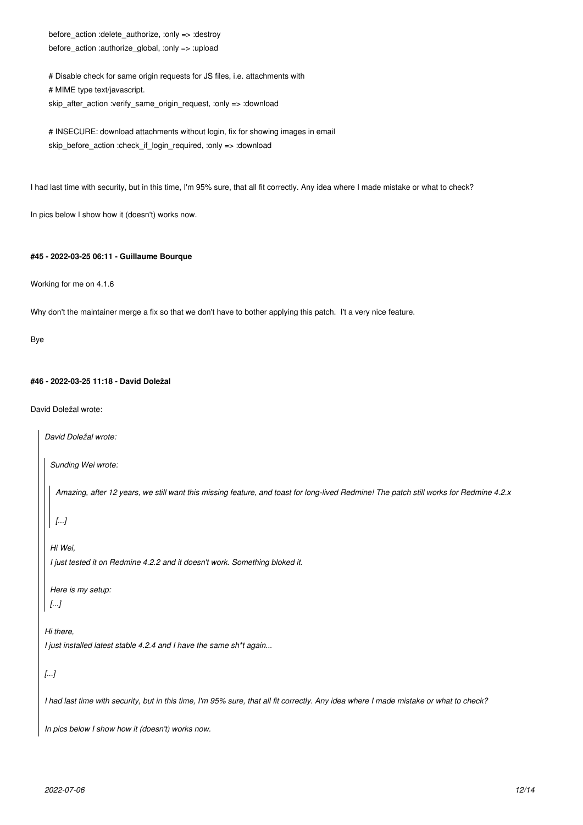before\_action :delete\_authorize, :only => :destroy before\_action :authorize\_global, :only => :upload

 # Disable check for same origin requests for JS files, i.e. attachments with # MIME type text/javascript. skip\_after\_action :verify\_same\_origin\_request, :only => :download

# INSECURE: download attachments without login, fix for showing images in email skip\_before\_action :check\_if\_login\_required, :only => :download

I had last time with security, but in this time, I'm 95% sure, that all fit correctly. Any idea where I made mistake or what to check?

In pics below I show how it (doesn't) works now.

### **#45 - 2022-03-25 06:11 - Guillaume Bourque**

Working for me on 4.1.6

Why don't the maintainer merge a fix so that we don't have to bother applying this patch. I't a very nice feature.

Bye

### **#46 - 2022-03-25 11:18 - David Doležal**

David Doležal wrote:

```
David Doležal wrote:
 Sunding Wei wrote:
   Amazing, after 12 years, we still want this missing feature, and toast for long-lived Redmine! The patch still works for Redmine 4.2.x
  [...]
 Hi Wei,
  I just tested it on Redmine 4.2.2 and it doesn't work. Something bloked it.
 Here is my setup:
 [...]
Hi there,
I just installed latest stable 4.2.4 and I have the same sh*t again...
[...]
I had last time with security, but in this time, I'm 95% sure, that all fit correctly. Any idea where I made mistake or what to check?
In pics below I show how it (doesn't) works now.
```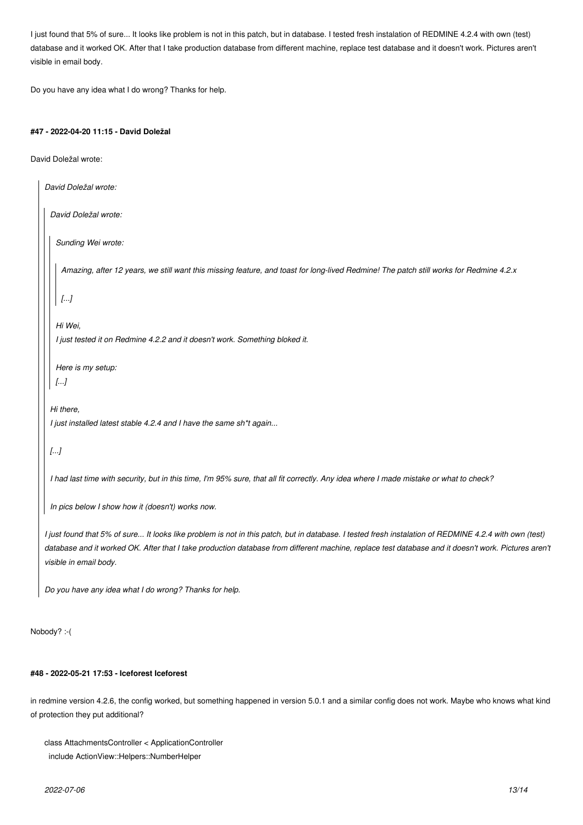I just found that 5% of sure... It looks like problem is not in this patch, but in database. I tested fresh instalation of REDMINE 4.2.4 with own (test) database and it worked OK. After that I take production database from different machine, replace test database and it doesn't work. Pictures aren't visible in email body.

Do you have any idea what I do wrong? Thanks for help.

### **#47 - 2022-04-20 11:15 - David Doležal**

David Doležal wrote:

```
David Doležal wrote:
 David Doležal wrote:
   Sunding Wei wrote:
    Amazing, after 12 years, we still want this missing feature, and toast for long-lived Redmine! The patch still works for Redmine 4.2.x
    [...]
   Hi Wei,
   I just tested it on Redmine 4.2.2 and it doesn't work. Something bloked it.
   Here is my setup:
  [...]
 Hi there,
 I just installed latest stable 4.2.4 and I have the same sh*t again...
 [...]
 I had last time with security, but in this time, I'm 95% sure, that all fit correctly. Any idea where I made mistake or what to check?
 In pics below I show how it (doesn't) works now.
I just found that 5% of sure... It looks like problem is not in this patch, but in database. I tested fresh instalation of REDMINE 4.2.4 with own (test)
```
*database and it worked OK. After that I take production database from different machine, replace test database and it doesn't work. Pictures aren't visible in email body.*

*Do you have any idea what I do wrong? Thanks for help.*

Nobody? :-(

### **#48 - 2022-05-21 17:53 - Iceforest Iceforest**

in redmine version 4.2.6, the config worked, but something happened in version 5.0.1 and a similar config does not work. Maybe who knows what kind of protection they put additional?

```
class AttachmentsController < ApplicationController
  include ActionView::Helpers::NumberHelper
```